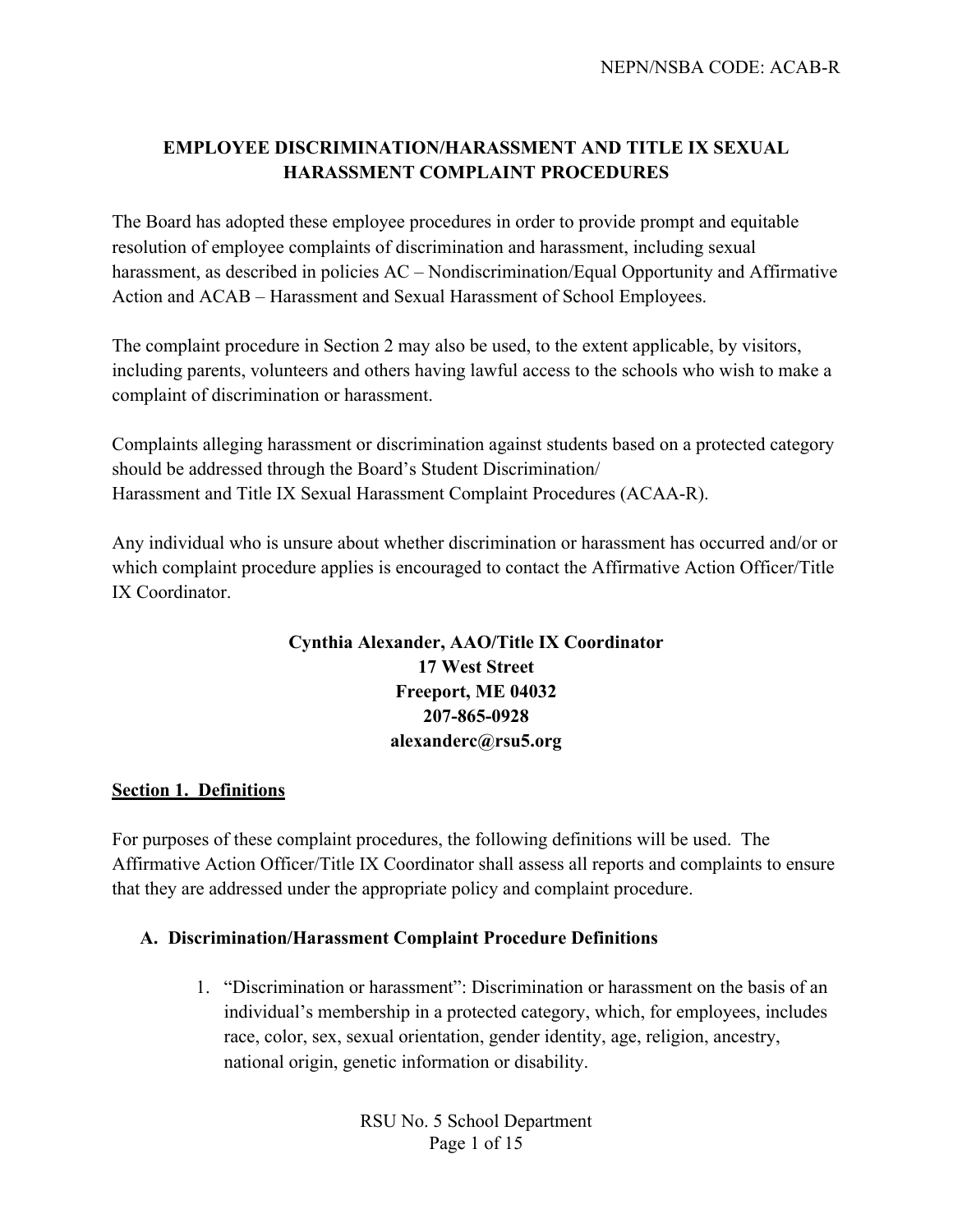# **EMPLOYEE DISCRIMINATION/HARASSMENT AND TITLE IX SEXUAL HARASSMENT COMPLAINT PROCEDURES**

The Board has adopted these employee procedures in order to provide prompt and equitable resolution of employee complaints of discrimination and harassment, including sexual harassment, as described in policies AC – Nondiscrimination/Equal Opportunity and Affirmative Action and ACAB – Harassment and Sexual Harassment of School Employees.

The complaint procedure in Section 2 may also be used, to the extent applicable, by visitors, including parents, volunteers and others having lawful access to the schools who wish to make a complaint of discrimination or harassment.

Complaints alleging harassment or discrimination against students based on a protected category should be addressed through the Board's Student Discrimination/ Harassment and Title IX Sexual Harassment Complaint Procedures (ACAA-R).

Any individual who is unsure about whether discrimination or harassment has occurred and/or or which complaint procedure applies is encouraged to contact the Affirmative Action Officer/Title IX Coordinator.

# **Cynthia Alexander, AAO/Title IX Coordinator 17 West Street Freeport, ME 04032 207-865-0928 alexanderc@rsu5.org**

#### **Section 1. Definitions**

For purposes of these complaint procedures, the following definitions will be used. The Affirmative Action Officer/Title IX Coordinator shall assess all reports and complaints to ensure that they are addressed under the appropriate policy and complaint procedure.

## **A. Discrimination/Harassment Complaint Procedure Definitions**

1. "Discrimination or harassment": Discrimination or harassment on the basis of an individual's membership in a protected category, which, for employees, includes race, color, sex, sexual orientation, gender identity, age, religion, ancestry, national origin, genetic information or disability.

> RSU No. 5 School Department Page 1 of 15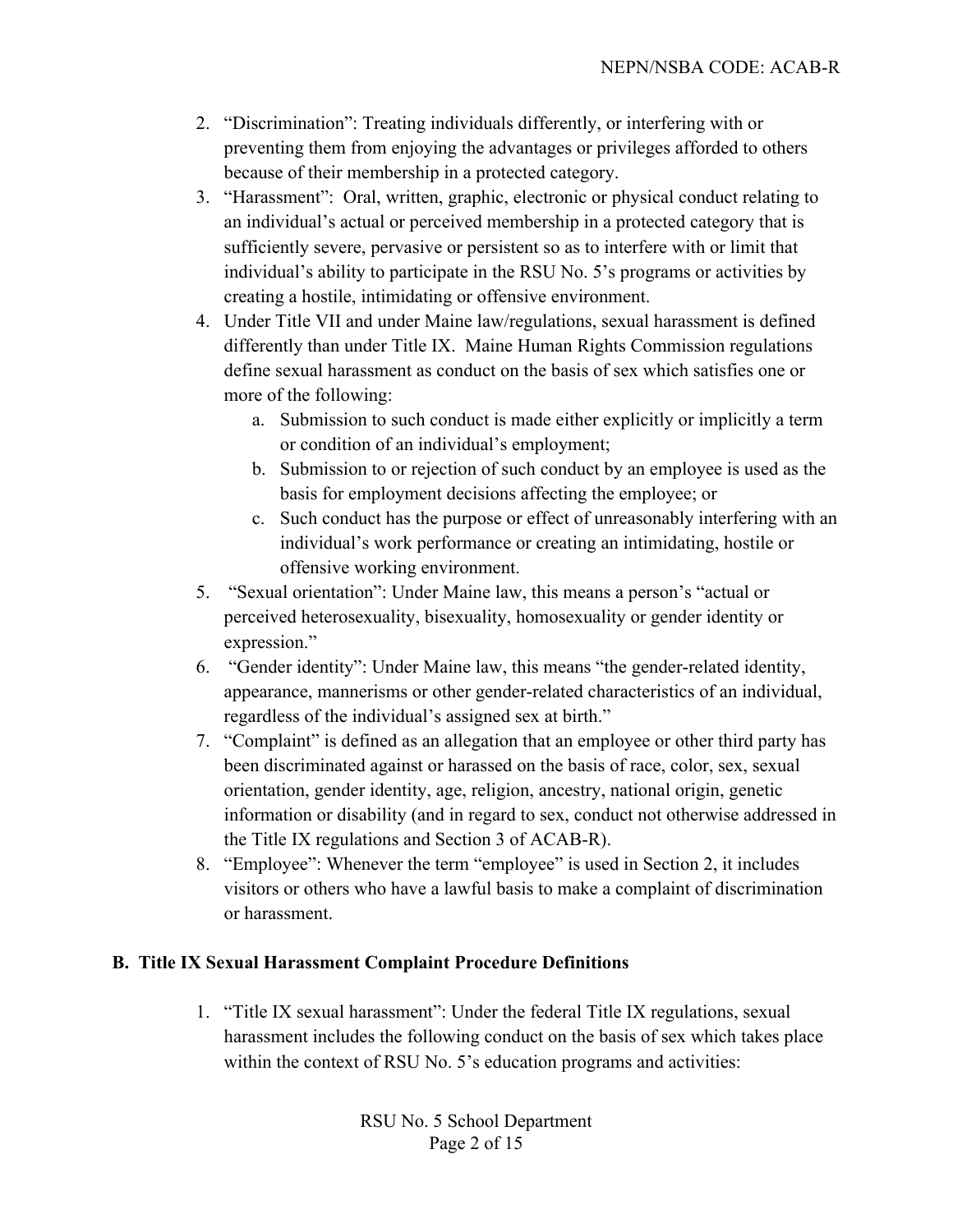- 2. "Discrimination": Treating individuals differently, or interfering with or preventing them from enjoying the advantages or privileges afforded to others because of their membership in a protected category.
- 3. "Harassment": Oral, written, graphic, electronic or physical conduct relating to an individual's actual or perceived membership in a protected category that is sufficiently severe, pervasive or persistent so as to interfere with or limit that individual's ability to participate in the RSU No. 5's programs or activities by creating a hostile, intimidating or offensive environment.
- 4. Under Title VII and under Maine law/regulations, sexual harassment is defined differently than under Title IX. Maine Human Rights Commission regulations define sexual harassment as conduct on the basis of sex which satisfies one or more of the following:
	- a. Submission to such conduct is made either explicitly or implicitly a term or condition of an individual's employment;
	- b. Submission to or rejection of such conduct by an employee is used as the basis for employment decisions affecting the employee; or
	- c. Such conduct has the purpose or effect of unreasonably interfering with an individual's work performance or creating an intimidating, hostile or offensive working environment.
- 5. "Sexual orientation": Under Maine law, this means a person's "actual or perceived heterosexuality, bisexuality, homosexuality or gender identity or expression."
- 6. "Gender identity": Under Maine law, this means "the gender-related identity, appearance, mannerisms or other gender-related characteristics of an individual, regardless of the individual's assigned sex at birth."
- 7. "Complaint" is defined as an allegation that an employee or other third party has been discriminated against or harassed on the basis of race, color, sex, sexual orientation, gender identity, age, religion, ancestry, national origin, genetic information or disability (and in regard to sex, conduct not otherwise addressed in the Title IX regulations and Section 3 of ACAB-R).
- 8. "Employee": Whenever the term "employee" is used in Section 2, it includes visitors or others who have a lawful basis to make a complaint of discrimination or harassment.

# **B. Title IX Sexual Harassment Complaint Procedure Definitions**

1. "Title IX sexual harassment": Under the federal Title IX regulations, sexual harassment includes the following conduct on the basis of sex which takes place within the context of RSU No. 5's education programs and activities:

> RSU No. 5 School Department Page 2 of 15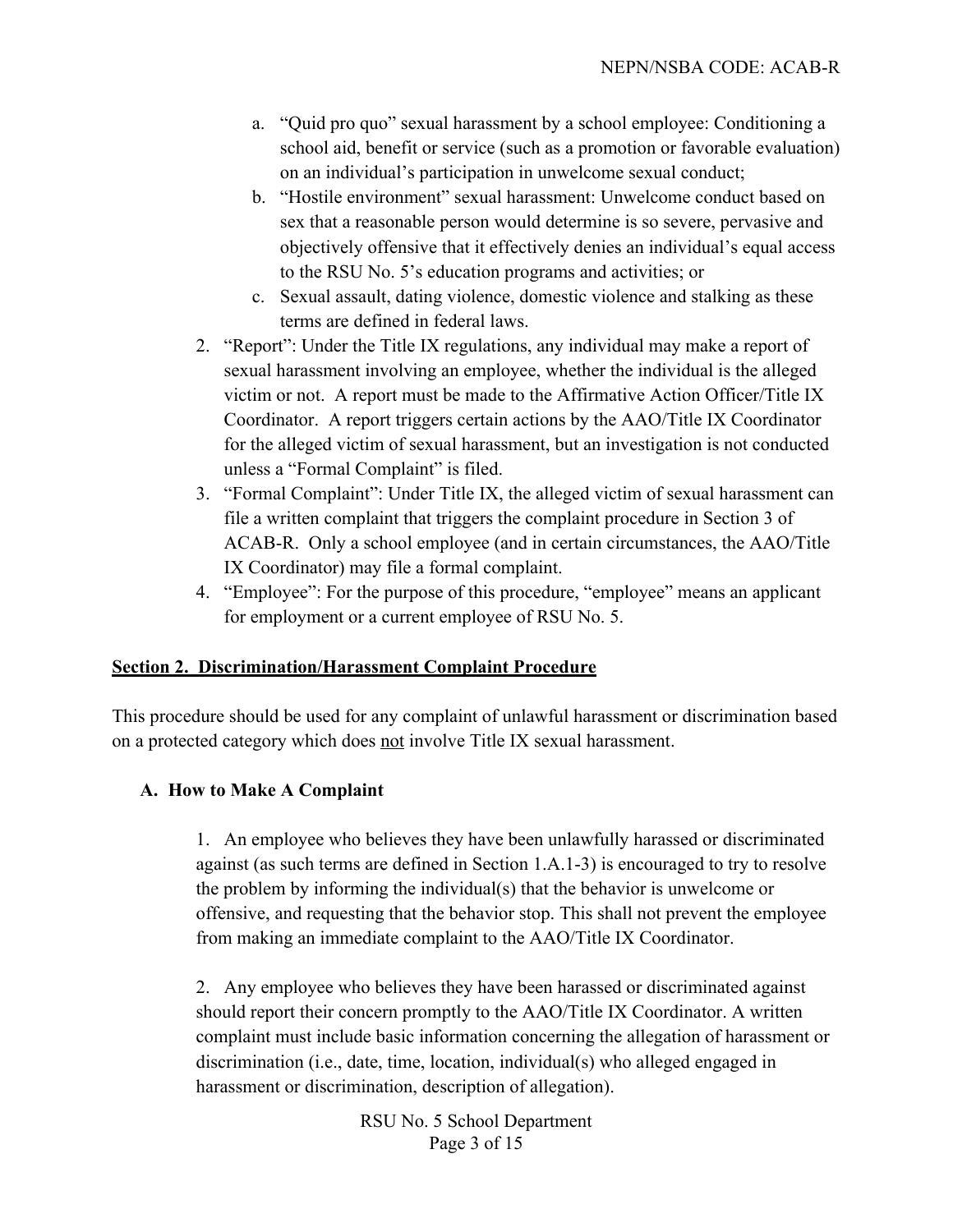- a. "Quid pro quo" sexual harassment by a school employee: Conditioning a school aid, benefit or service (such as a promotion or favorable evaluation) on an individual's participation in unwelcome sexual conduct;
- b. "Hostile environment" sexual harassment: Unwelcome conduct based on sex that a reasonable person would determine is so severe, pervasive and objectively offensive that it effectively denies an individual's equal access to the RSU No. 5's education programs and activities; or
- c. Sexual assault, dating violence, domestic violence and stalking as these terms are defined in federal laws.
- 2. "Report": Under the Title IX regulations, any individual may make a report of sexual harassment involving an employee, whether the individual is the alleged victim or not. A report must be made to the Affirmative Action Officer/Title IX Coordinator. A report triggers certain actions by the AAO/Title IX Coordinator for the alleged victim of sexual harassment, but an investigation is not conducted unless a "Formal Complaint" is filed.
- 3. "Formal Complaint": Under Title IX, the alleged victim of sexual harassment can file a written complaint that triggers the complaint procedure in Section 3 of ACAB-R. Only a school employee (and in certain circumstances, the AAO/Title IX Coordinator) may file a formal complaint.
- 4. "Employee": For the purpose of this procedure, "employee" means an applicant for employment or a current employee of RSU No. 5.

## **Section 2. Discrimination/Harassment Complaint Procedure**

This procedure should be used for any complaint of unlawful harassment or discrimination based on a protected category which does not involve Title IX sexual harassment.

#### **A. How to Make A Complaint**

1. An employee who believes they have been unlawfully harassed or discriminated against (as such terms are defined in Section 1.A.1-3) is encouraged to try to resolve the problem by informing the individual(s) that the behavior is unwelcome or offensive, and requesting that the behavior stop. This shall not prevent the employee from making an immediate complaint to the AAO/Title IX Coordinator.

2. Any employee who believes they have been harassed or discriminated against should report their concern promptly to the AAO/Title IX Coordinator. A written complaint must include basic information concerning the allegation of harassment or discrimination (i.e., date, time, location, individual(s) who alleged engaged in harassment or discrimination, description of allegation).

> RSU No. 5 School Department Page 3 of 15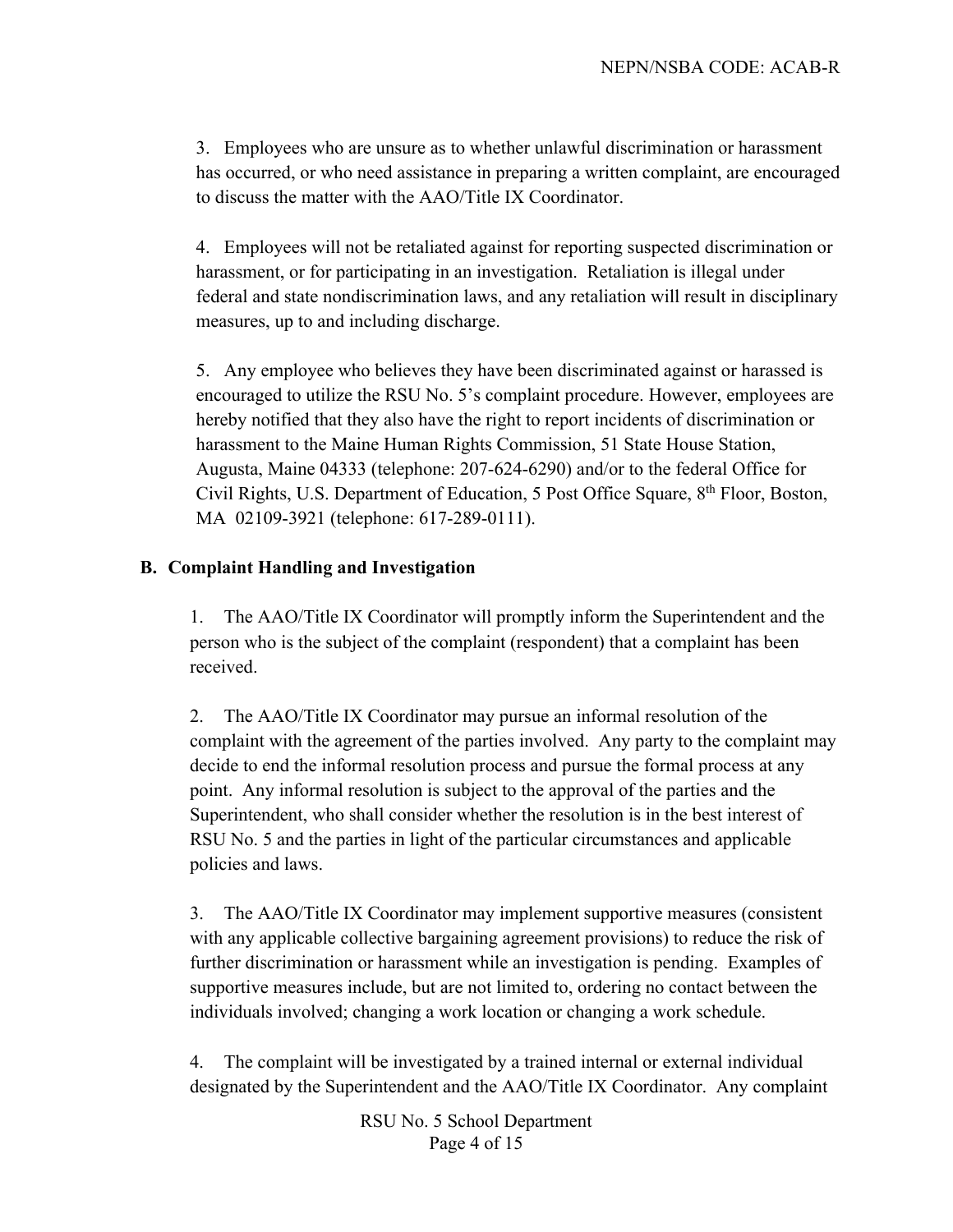3. Employees who are unsure as to whether unlawful discrimination or harassment has occurred, or who need assistance in preparing a written complaint, are encouraged to discuss the matter with the AAO/Title IX Coordinator.

4. Employees will not be retaliated against for reporting suspected discrimination or harassment, or for participating in an investigation. Retaliation is illegal under federal and state nondiscrimination laws, and any retaliation will result in disciplinary measures, up to and including discharge.

5. Any employee who believes they have been discriminated against or harassed is encouraged to utilize the RSU No. 5's complaint procedure. However, employees are hereby notified that they also have the right to report incidents of discrimination or harassment to the Maine Human Rights Commission, 51 State House Station, Augusta, Maine 04333 (telephone: 207-624-6290) and/or to the federal Office for Civil Rights, U.S. Department of Education, 5 Post Office Square, 8<sup>th</sup> Floor, Boston, MA 02109-3921 (telephone: 617-289-0111).

#### **B. Complaint Handling and Investigation**

1. The AAO/Title IX Coordinator will promptly inform the Superintendent and the person who is the subject of the complaint (respondent) that a complaint has been received.

2. The AAO/Title IX Coordinator may pursue an informal resolution of the complaint with the agreement of the parties involved. Any party to the complaint may decide to end the informal resolution process and pursue the formal process at any point. Any informal resolution is subject to the approval of the parties and the Superintendent, who shall consider whether the resolution is in the best interest of RSU No. 5 and the parties in light of the particular circumstances and applicable policies and laws.

3. The AAO/Title IX Coordinator may implement supportive measures (consistent with any applicable collective bargaining agreement provisions) to reduce the risk of further discrimination or harassment while an investigation is pending. Examples of supportive measures include, but are not limited to, ordering no contact between the individuals involved; changing a work location or changing a work schedule.

4. The complaint will be investigated by a trained internal or external individual designated by the Superintendent and the AAO/Title IX Coordinator. Any complaint

> RSU No. 5 School Department Page 4 of 15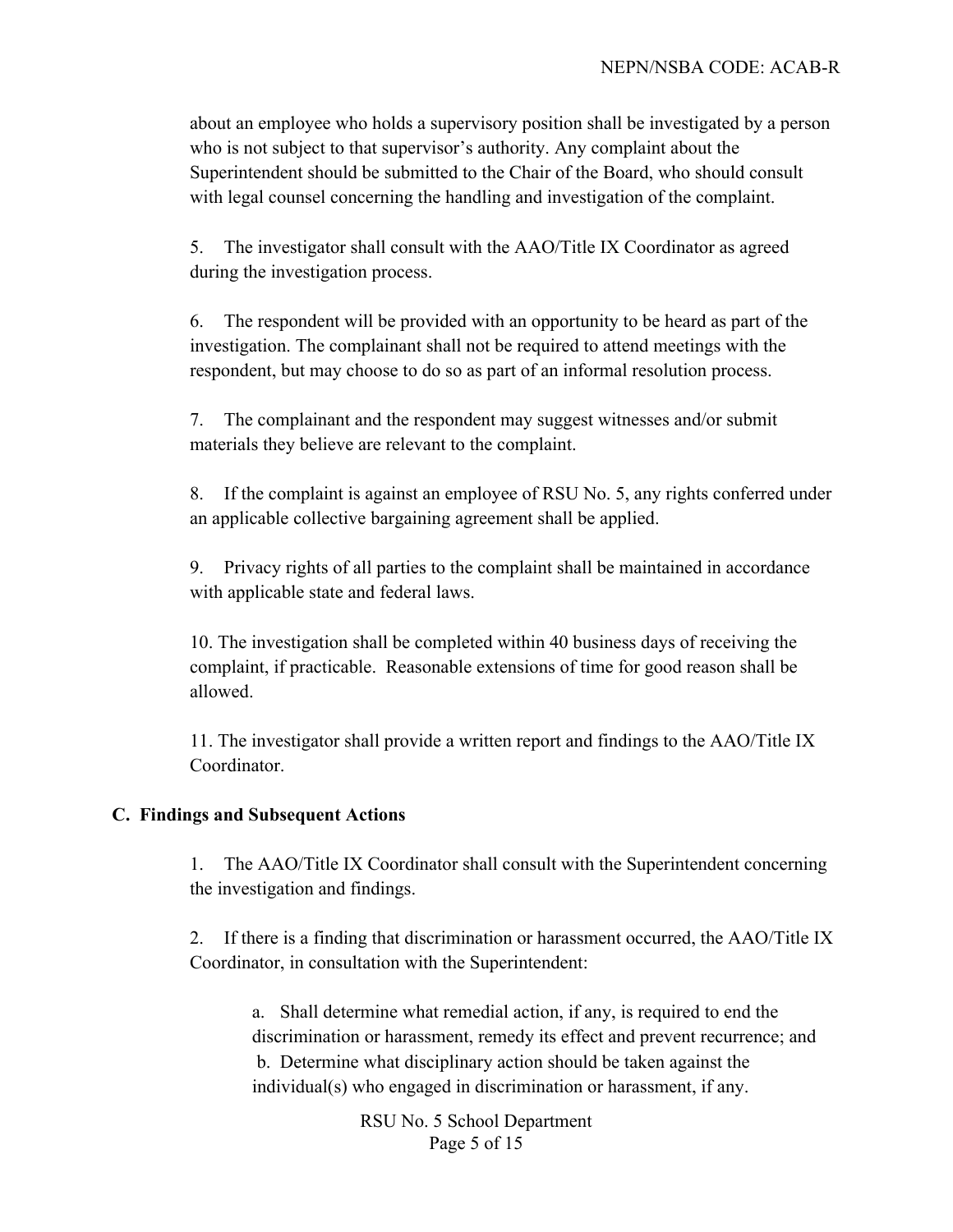about an employee who holds a supervisory position shall be investigated by a person who is not subject to that supervisor's authority. Any complaint about the Superintendent should be submitted to the Chair of the Board, who should consult with legal counsel concerning the handling and investigation of the complaint.

5. The investigator shall consult with the AAO/Title IX Coordinator as agreed during the investigation process.

6. The respondent will be provided with an opportunity to be heard as part of the investigation. The complainant shall not be required to attend meetings with the respondent, but may choose to do so as part of an informal resolution process.

7. The complainant and the respondent may suggest witnesses and/or submit materials they believe are relevant to the complaint.

8. If the complaint is against an employee of RSU No. 5, any rights conferred under an applicable collective bargaining agreement shall be applied.

9. Privacy rights of all parties to the complaint shall be maintained in accordance with applicable state and federal laws.

10. The investigation shall be completed within 40 business days of receiving the complaint, if practicable. Reasonable extensions of time for good reason shall be allowed.

11. The investigator shall provide a written report and findings to the AAO/Title IX Coordinator.

## **C. Findings and Subsequent Actions**

1. The AAO/Title IX Coordinator shall consult with the Superintendent concerning the investigation and findings.

2. If there is a finding that discrimination or harassment occurred, the AAO/Title IX Coordinator, in consultation with the Superintendent:

a. Shall determine what remedial action, if any, is required to end the discrimination or harassment, remedy its effect and prevent recurrence; and b. Determine what disciplinary action should be taken against the individual(s) who engaged in discrimination or harassment, if any.

> RSU No. 5 School Department Page 5 of 15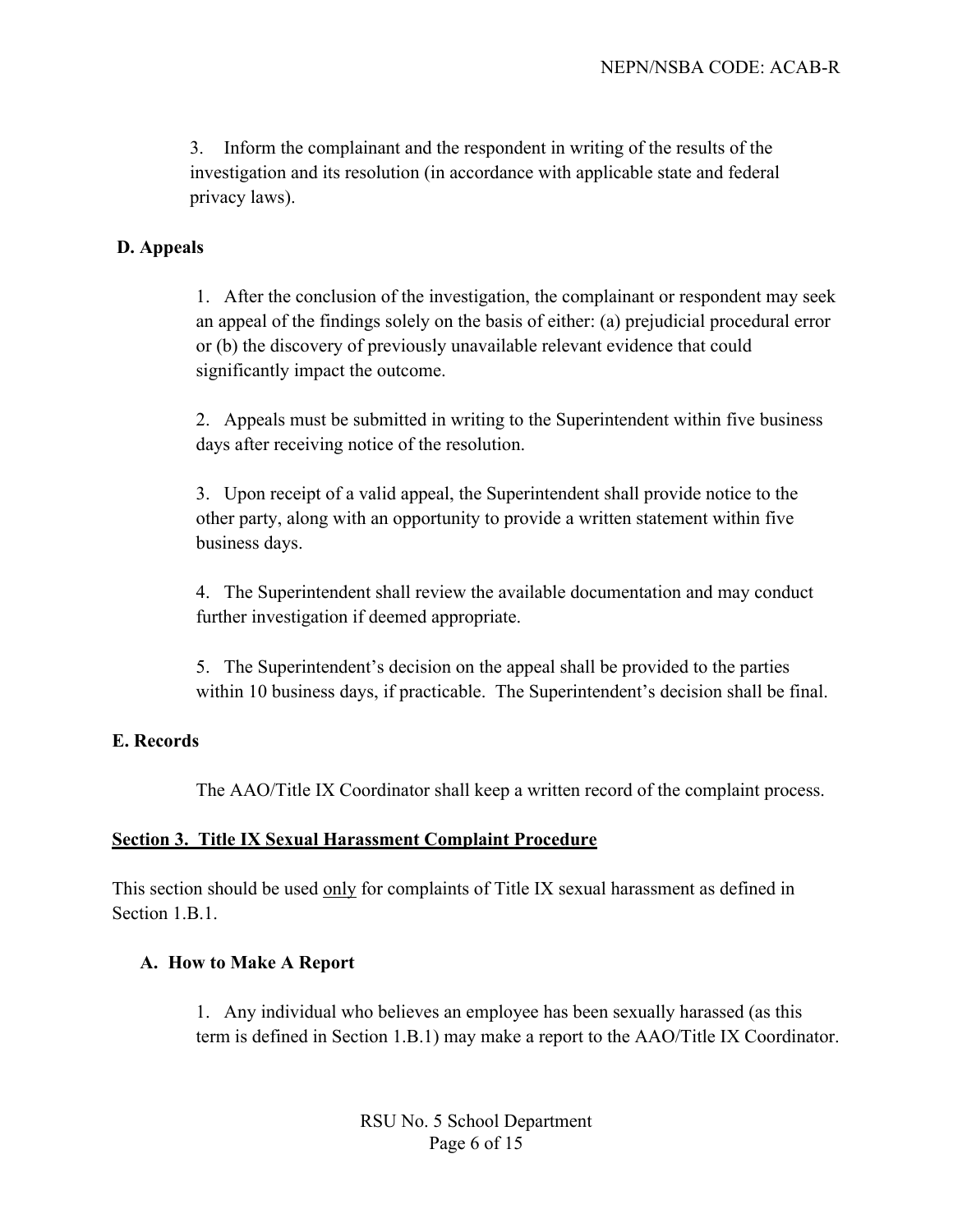3. Inform the complainant and the respondent in writing of the results of the investigation and its resolution (in accordance with applicable state and federal privacy laws).

## **D. Appeals**

1. After the conclusion of the investigation, the complainant or respondent may seek an appeal of the findings solely on the basis of either: (a) prejudicial procedural error or (b) the discovery of previously unavailable relevant evidence that could significantly impact the outcome.

2. Appeals must be submitted in writing to the Superintendent within five business days after receiving notice of the resolution.

3. Upon receipt of a valid appeal, the Superintendent shall provide notice to the other party, along with an opportunity to provide a written statement within five business days.

4. The Superintendent shall review the available documentation and may conduct further investigation if deemed appropriate.

5. The Superintendent's decision on the appeal shall be provided to the parties within 10 business days, if practicable. The Superintendent's decision shall be final.

## **E. Records**

The AAO/Title IX Coordinator shall keep a written record of the complaint process.

## **Section 3. Title IX Sexual Harassment Complaint Procedure**

This section should be used only for complaints of Title IX sexual harassment as defined in Section 1.B.1.

## **A. How to Make A Report**

1. Any individual who believes an employee has been sexually harassed (as this term is defined in Section 1.B.1) may make a report to the AAO/Title IX Coordinator.

> RSU No. 5 School Department Page 6 of 15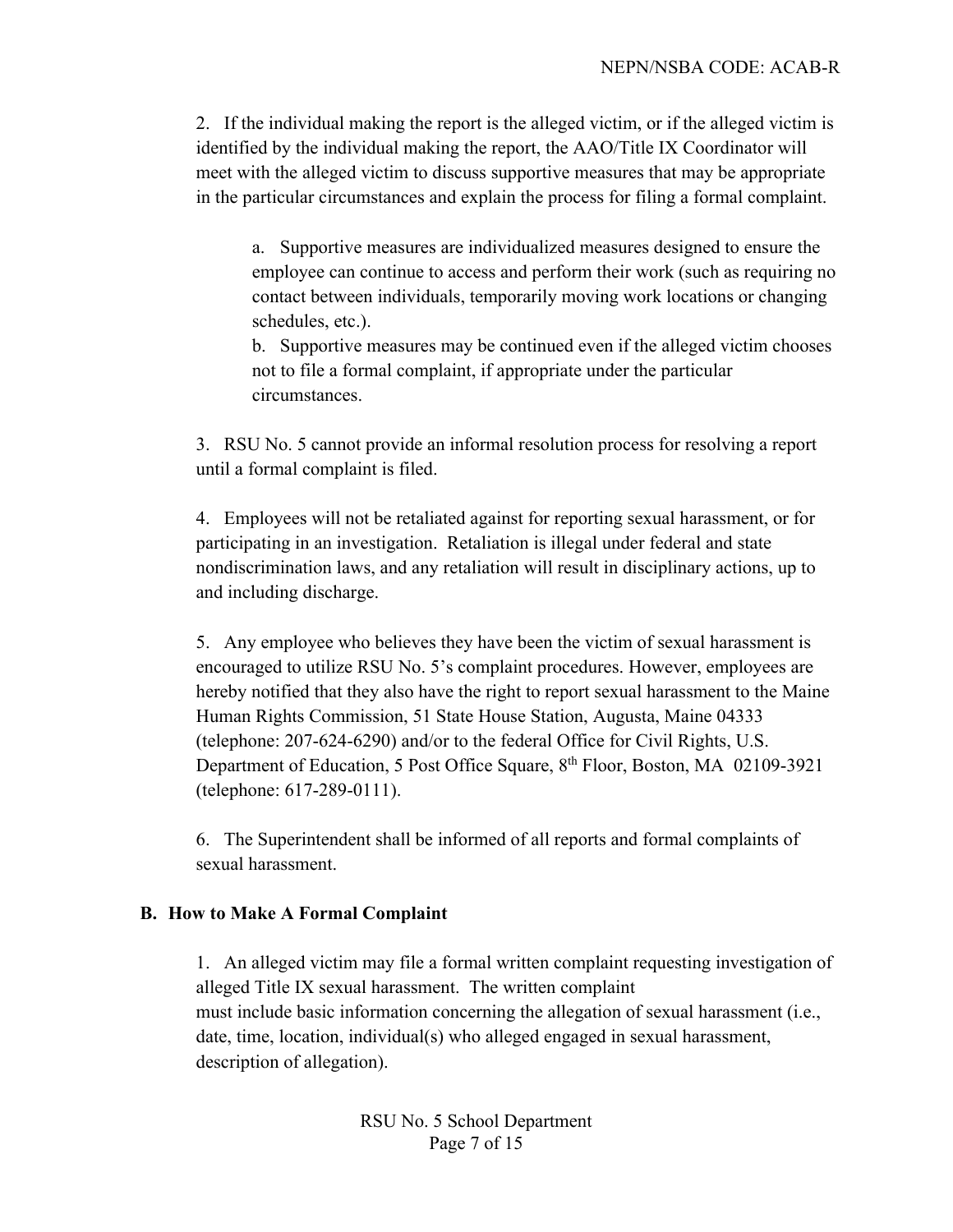2. If the individual making the report is the alleged victim, or if the alleged victim is identified by the individual making the report, the AAO/Title IX Coordinator will meet with the alleged victim to discuss supportive measures that may be appropriate in the particular circumstances and explain the process for filing a formal complaint.

a. Supportive measures are individualized measures designed to ensure the employee can continue to access and perform their work (such as requiring no contact between individuals, temporarily moving work locations or changing schedules, etc.).

b. Supportive measures may be continued even if the alleged victim chooses not to file a formal complaint, if appropriate under the particular circumstances.

3. RSU No. 5 cannot provide an informal resolution process for resolving a report until a formal complaint is filed.

4. Employees will not be retaliated against for reporting sexual harassment, or for participating in an investigation. Retaliation is illegal under federal and state nondiscrimination laws, and any retaliation will result in disciplinary actions, up to and including discharge.

5. Any employee who believes they have been the victim of sexual harassment is encouraged to utilize RSU No. 5's complaint procedures. However, employees are hereby notified that they also have the right to report sexual harassment to the Maine Human Rights Commission, 51 State House Station, Augusta, Maine 04333 (telephone: 207-624-6290) and/or to the federal Office for Civil Rights, U.S. Department of Education, 5 Post Office Square, 8th Floor, Boston, MA 02109-3921 (telephone: 617-289-0111).

6. The Superintendent shall be informed of all reports and formal complaints of sexual harassment.

## **B. How to Make A Formal Complaint**

1. An alleged victim may file a formal written complaint requesting investigation of alleged Title IX sexual harassment. The written complaint must include basic information concerning the allegation of sexual harassment (i.e., date, time, location, individual(s) who alleged engaged in sexual harassment, description of allegation).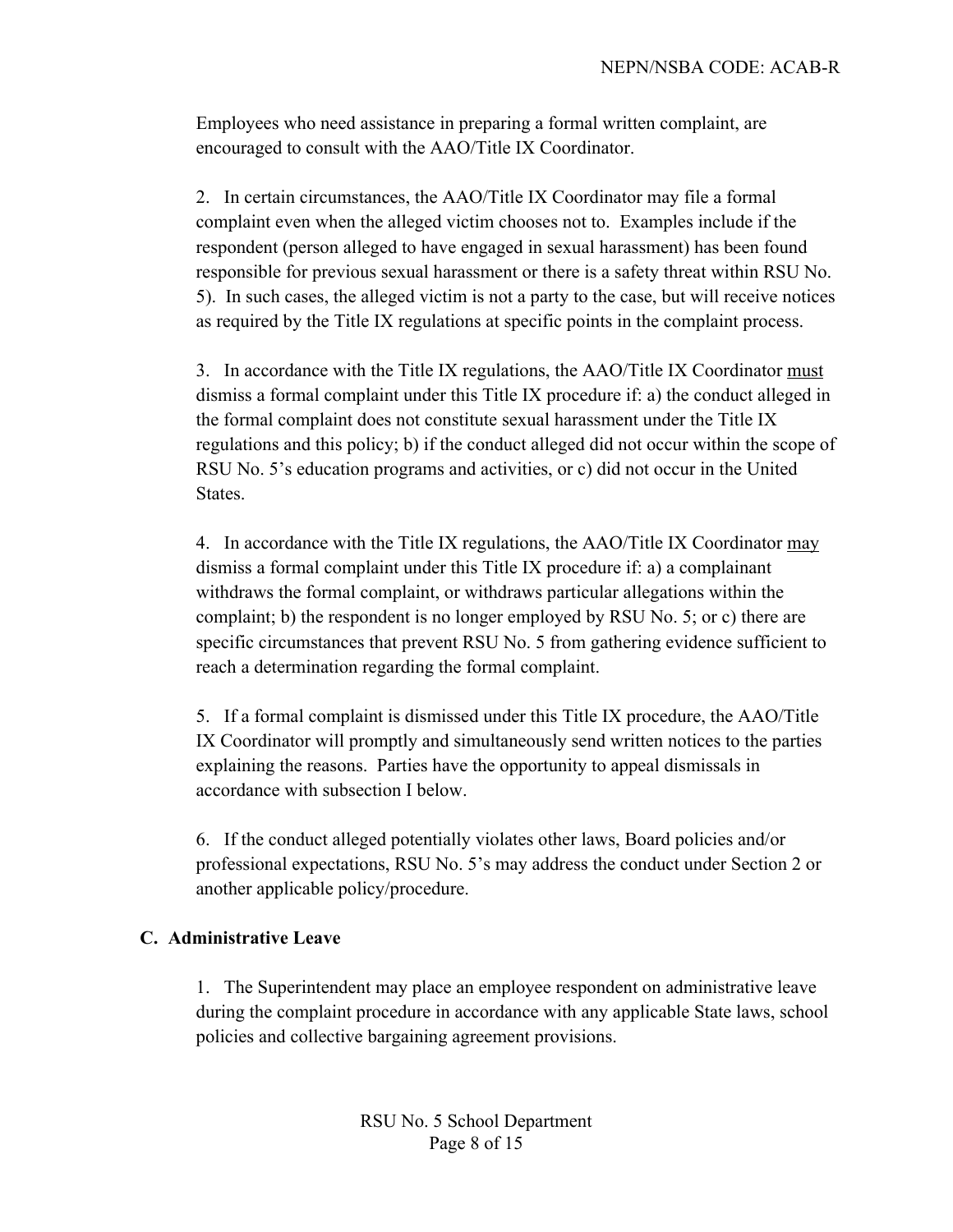Employees who need assistance in preparing a formal written complaint, are encouraged to consult with the AAO/Title IX Coordinator.

2. In certain circumstances, the AAO/Title IX Coordinator may file a formal complaint even when the alleged victim chooses not to. Examples include if the respondent (person alleged to have engaged in sexual harassment) has been found responsible for previous sexual harassment or there is a safety threat within RSU No. 5). In such cases, the alleged victim is not a party to the case, but will receive notices as required by the Title IX regulations at specific points in the complaint process.

3. In accordance with the Title IX regulations, the AAO/Title IX Coordinator must dismiss a formal complaint under this Title IX procedure if: a) the conduct alleged in the formal complaint does not constitute sexual harassment under the Title IX regulations and this policy; b) if the conduct alleged did not occur within the scope of RSU No. 5's education programs and activities, or c) did not occur in the United States.

4. In accordance with the Title IX regulations, the AAO/Title IX Coordinator may dismiss a formal complaint under this Title IX procedure if: a) a complainant withdraws the formal complaint, or withdraws particular allegations within the complaint; b) the respondent is no longer employed by RSU No. 5; or c) there are specific circumstances that prevent RSU No. 5 from gathering evidence sufficient to reach a determination regarding the formal complaint.

5. If a formal complaint is dismissed under this Title IX procedure, the AAO/Title IX Coordinator will promptly and simultaneously send written notices to the parties explaining the reasons. Parties have the opportunity to appeal dismissals in accordance with subsection I below.

6. If the conduct alleged potentially violates other laws, Board policies and/or professional expectations, RSU No. 5's may address the conduct under Section 2 or another applicable policy/procedure.

## **C. Administrative Leave**

1. The Superintendent may place an employee respondent on administrative leave during the complaint procedure in accordance with any applicable State laws, school policies and collective bargaining agreement provisions.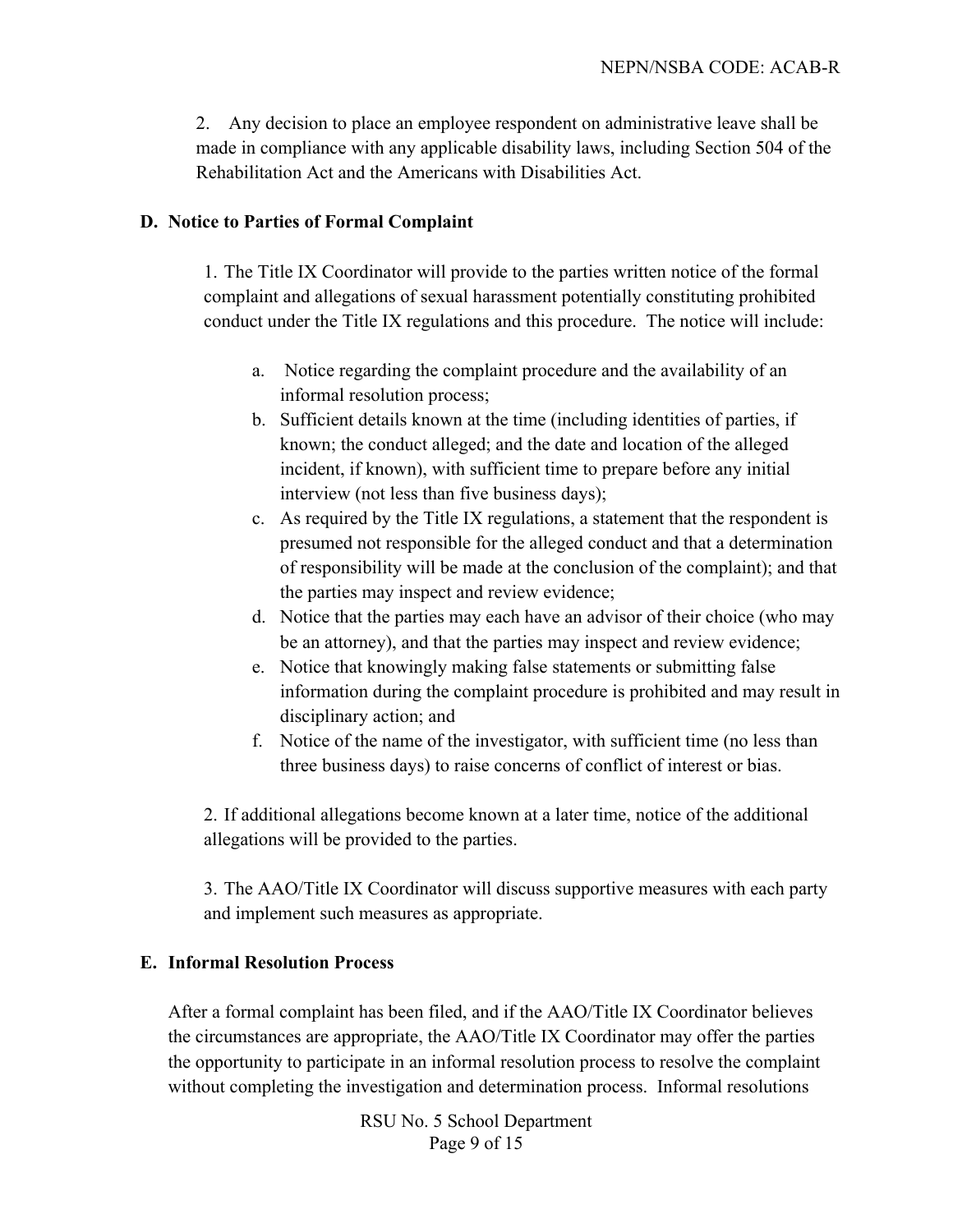2. Any decision to place an employee respondent on administrative leave shall be made in compliance with any applicable disability laws, including Section 504 of the Rehabilitation Act and the Americans with Disabilities Act.

#### **D. Notice to Parties of Formal Complaint**

1. The Title IX Coordinator will provide to the parties written notice of the formal complaint and allegations of sexual harassment potentially constituting prohibited conduct under the Title IX regulations and this procedure. The notice will include:

- a. Notice regarding the complaint procedure and the availability of an informal resolution process;
- b. Sufficient details known at the time (including identities of parties, if known; the conduct alleged; and the date and location of the alleged incident, if known), with sufficient time to prepare before any initial interview (not less than five business days);
- c. As required by the Title IX regulations, a statement that the respondent is presumed not responsible for the alleged conduct and that a determination of responsibility will be made at the conclusion of the complaint); and that the parties may inspect and review evidence;
- d. Notice that the parties may each have an advisor of their choice (who may be an attorney), and that the parties may inspect and review evidence;
- e. Notice that knowingly making false statements or submitting false information during the complaint procedure is prohibited and may result in disciplinary action; and
- f. Notice of the name of the investigator, with sufficient time (no less than three business days) to raise concerns of conflict of interest or bias.

2. If additional allegations become known at a later time, notice of the additional allegations will be provided to the parties.

3. The AAO/Title IX Coordinator will discuss supportive measures with each party and implement such measures as appropriate.

#### **E. Informal Resolution Process**

After a formal complaint has been filed, and if the AAO/Title IX Coordinator believes the circumstances are appropriate, the AAO/Title IX Coordinator may offer the parties the opportunity to participate in an informal resolution process to resolve the complaint without completing the investigation and determination process. Informal resolutions

> RSU No. 5 School Department Page 9 of 15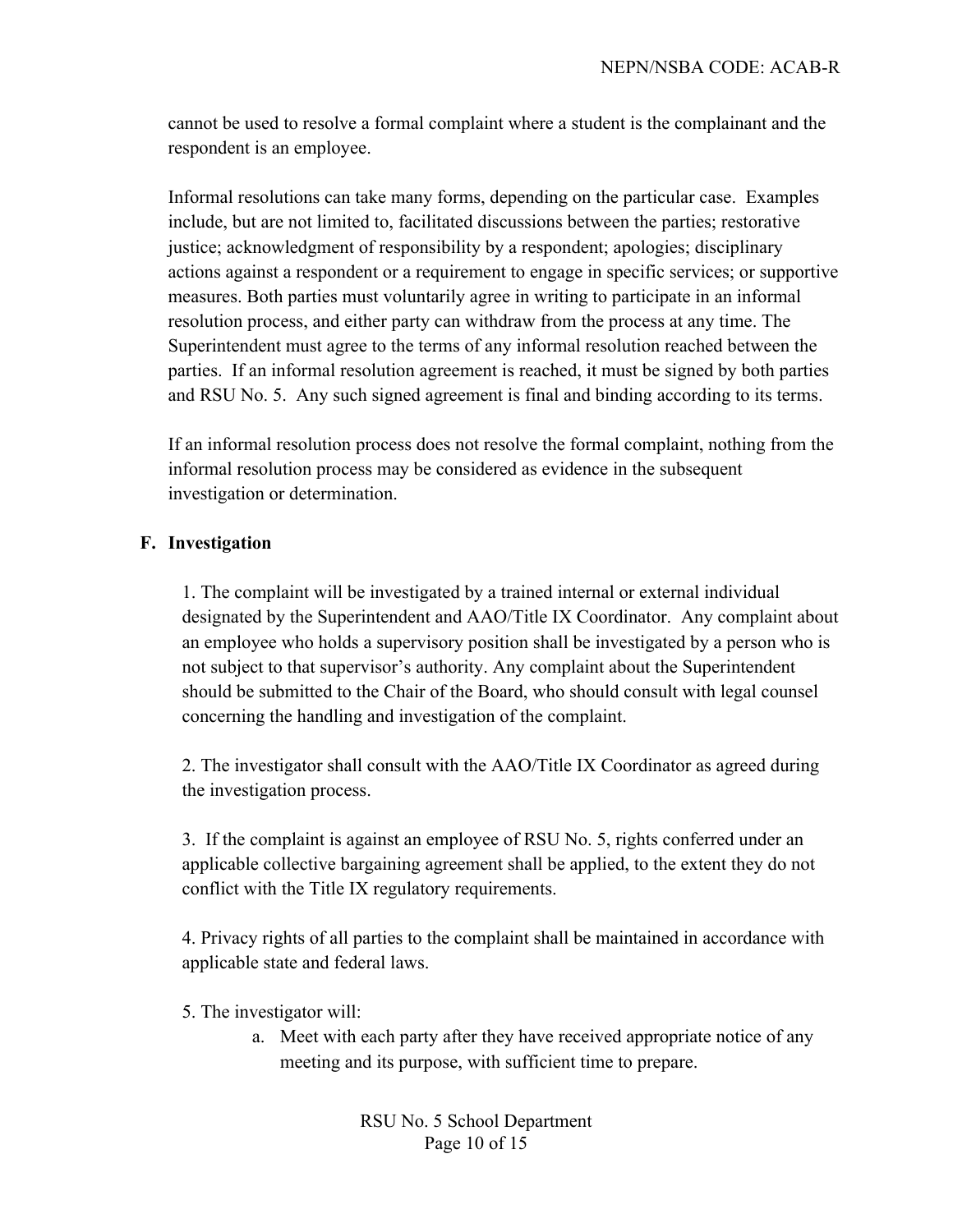cannot be used to resolve a formal complaint where a student is the complainant and the respondent is an employee.

Informal resolutions can take many forms, depending on the particular case. Examples include, but are not limited to, facilitated discussions between the parties; restorative justice; acknowledgment of responsibility by a respondent; apologies; disciplinary actions against a respondent or a requirement to engage in specific services; or supportive measures. Both parties must voluntarily agree in writing to participate in an informal resolution process, and either party can withdraw from the process at any time. The Superintendent must agree to the terms of any informal resolution reached between the parties. If an informal resolution agreement is reached, it must be signed by both parties and RSU No. 5. Any such signed agreement is final and binding according to its terms.

If an informal resolution process does not resolve the formal complaint, nothing from the informal resolution process may be considered as evidence in the subsequent investigation or determination.

#### **F. Investigation**

1. The complaint will be investigated by a trained internal or external individual designated by the Superintendent and AAO/Title IX Coordinator. Any complaint about an employee who holds a supervisory position shall be investigated by a person who is not subject to that supervisor's authority. Any complaint about the Superintendent should be submitted to the Chair of the Board, who should consult with legal counsel concerning the handling and investigation of the complaint.

2. The investigator shall consult with the AAO/Title IX Coordinator as agreed during the investigation process.

3. If the complaint is against an employee of RSU No. 5, rights conferred under an applicable collective bargaining agreement shall be applied, to the extent they do not conflict with the Title IX regulatory requirements.

4. Privacy rights of all parties to the complaint shall be maintained in accordance with applicable state and federal laws.

5. The investigator will:

a. Meet with each party after they have received appropriate notice of any meeting and its purpose, with sufficient time to prepare.

> RSU No. 5 School Department Page 10 of 15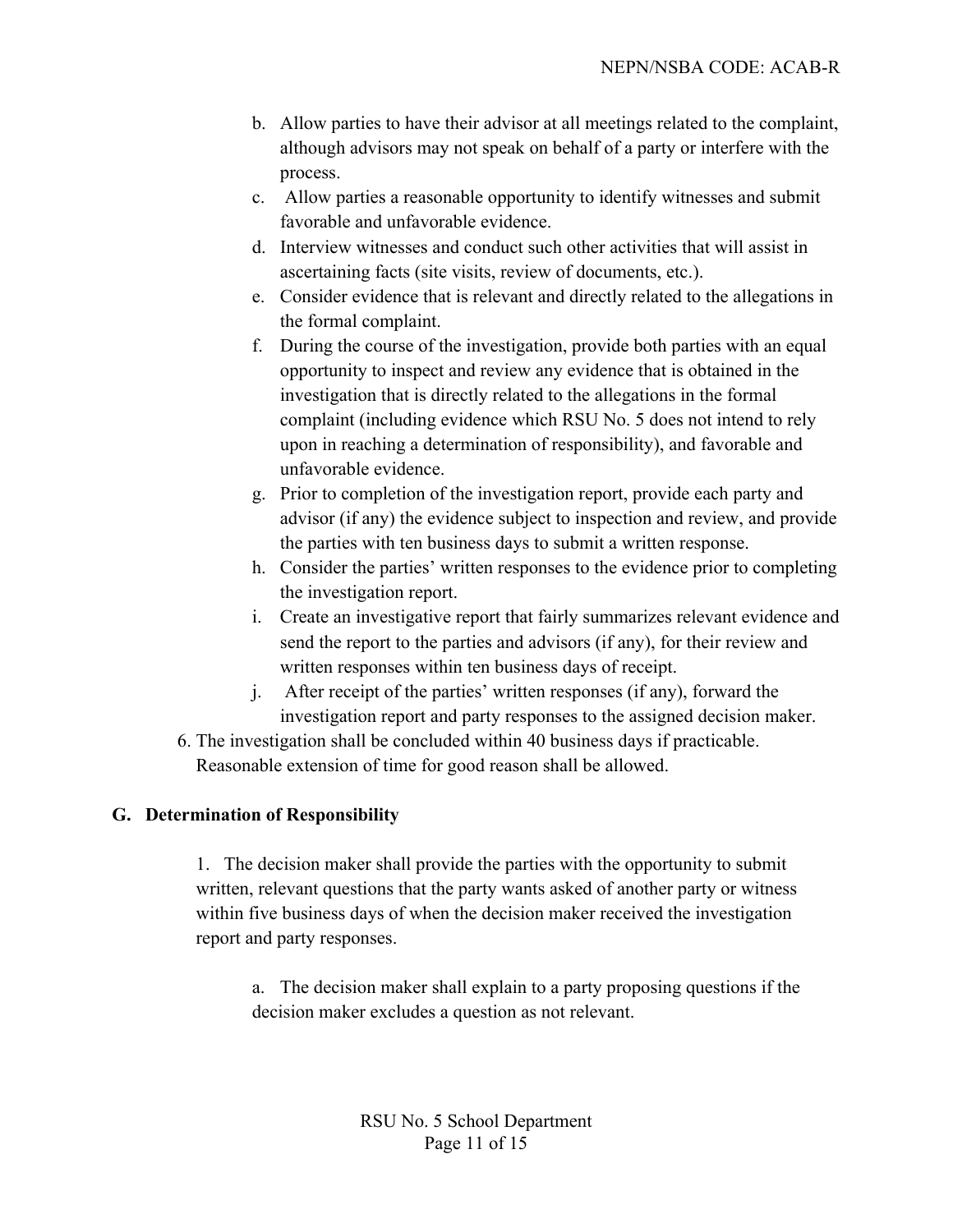- b. Allow parties to have their advisor at all meetings related to the complaint, although advisors may not speak on behalf of a party or interfere with the process.
- c. Allow parties a reasonable opportunity to identify witnesses and submit favorable and unfavorable evidence.
- d. Interview witnesses and conduct such other activities that will assist in ascertaining facts (site visits, review of documents, etc.).
- e. Consider evidence that is relevant and directly related to the allegations in the formal complaint.
- f. During the course of the investigation, provide both parties with an equal opportunity to inspect and review any evidence that is obtained in the investigation that is directly related to the allegations in the formal complaint (including evidence which RSU No. 5 does not intend to rely upon in reaching a determination of responsibility), and favorable and unfavorable evidence.
- g. Prior to completion of the investigation report, provide each party and advisor (if any) the evidence subject to inspection and review, and provide the parties with ten business days to submit a written response.
- h. Consider the parties' written responses to the evidence prior to completing the investigation report.
- i. Create an investigative report that fairly summarizes relevant evidence and send the report to the parties and advisors (if any), for their review and written responses within ten business days of receipt.
- j. After receipt of the parties' written responses (if any), forward the investigation report and party responses to the assigned decision maker.
- 6. The investigation shall be concluded within 40 business days if practicable. Reasonable extension of time for good reason shall be allowed.

## **G. Determination of Responsibility**

1. The decision maker shall provide the parties with the opportunity to submit written, relevant questions that the party wants asked of another party or witness within five business days of when the decision maker received the investigation report and party responses.

a. The decision maker shall explain to a party proposing questions if the decision maker excludes a question as not relevant.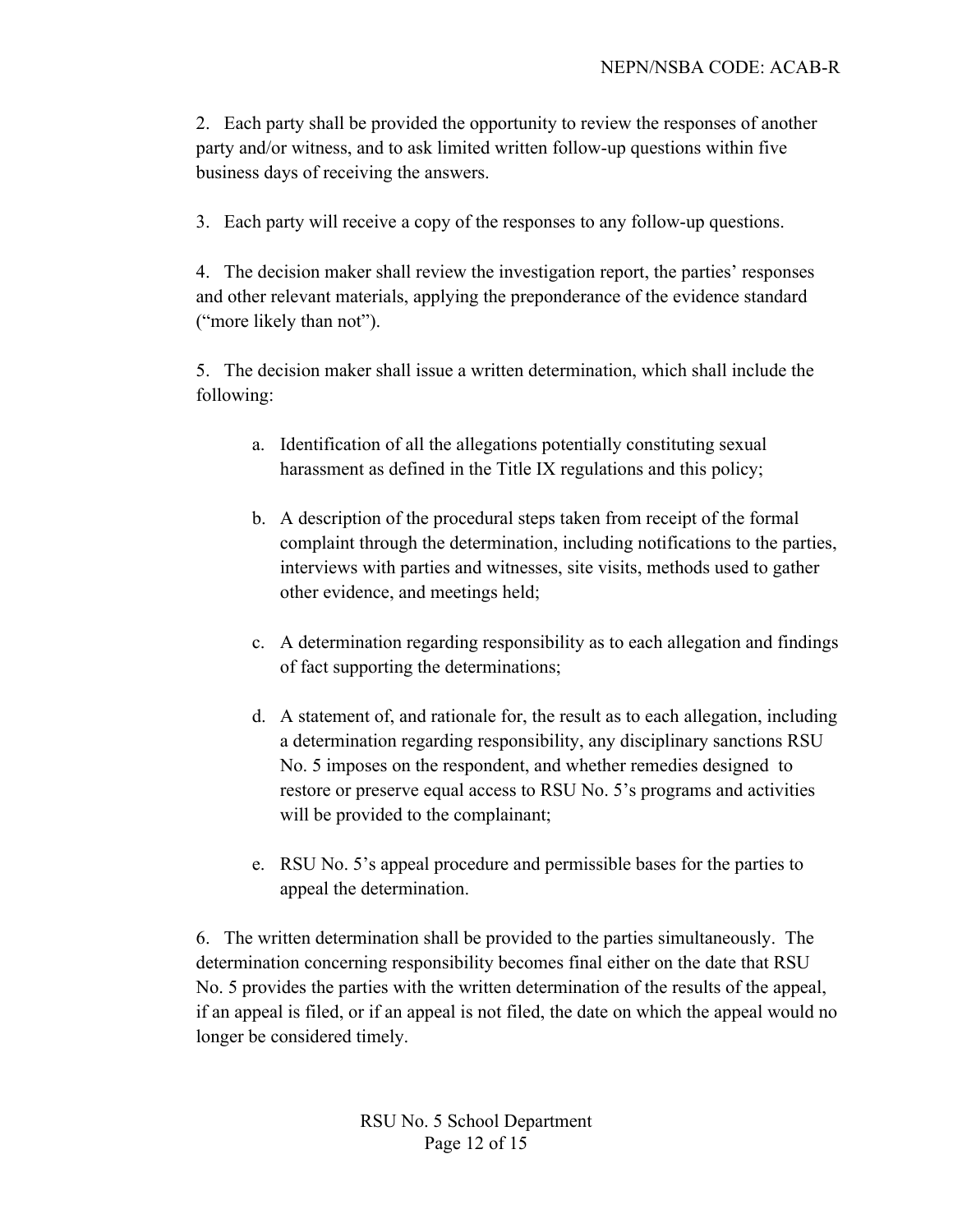2. Each party shall be provided the opportunity to review the responses of another party and/or witness, and to ask limited written follow-up questions within five business days of receiving the answers.

3. Each party will receive a copy of the responses to any follow-up questions.

4. The decision maker shall review the investigation report, the parties' responses and other relevant materials, applying the preponderance of the evidence standard ("more likely than not").

5. The decision maker shall issue a written determination, which shall include the following:

- a. Identification of all the allegations potentially constituting sexual harassment as defined in the Title IX regulations and this policy;
- b. A description of the procedural steps taken from receipt of the formal complaint through the determination, including notifications to the parties, interviews with parties and witnesses, site visits, methods used to gather other evidence, and meetings held;
- c. A determination regarding responsibility as to each allegation and findings of fact supporting the determinations;
- d. A statement of, and rationale for, the result as to each allegation, including a determination regarding responsibility, any disciplinary sanctions RSU No. 5 imposes on the respondent, and whether remedies designed to restore or preserve equal access to RSU No. 5's programs and activities will be provided to the complainant;
- e. RSU No. 5's appeal procedure and permissible bases for the parties to appeal the determination.

6. The written determination shall be provided to the parties simultaneously. The determination concerning responsibility becomes final either on the date that RSU No. 5 provides the parties with the written determination of the results of the appeal, if an appeal is filed, or if an appeal is not filed, the date on which the appeal would no longer be considered timely.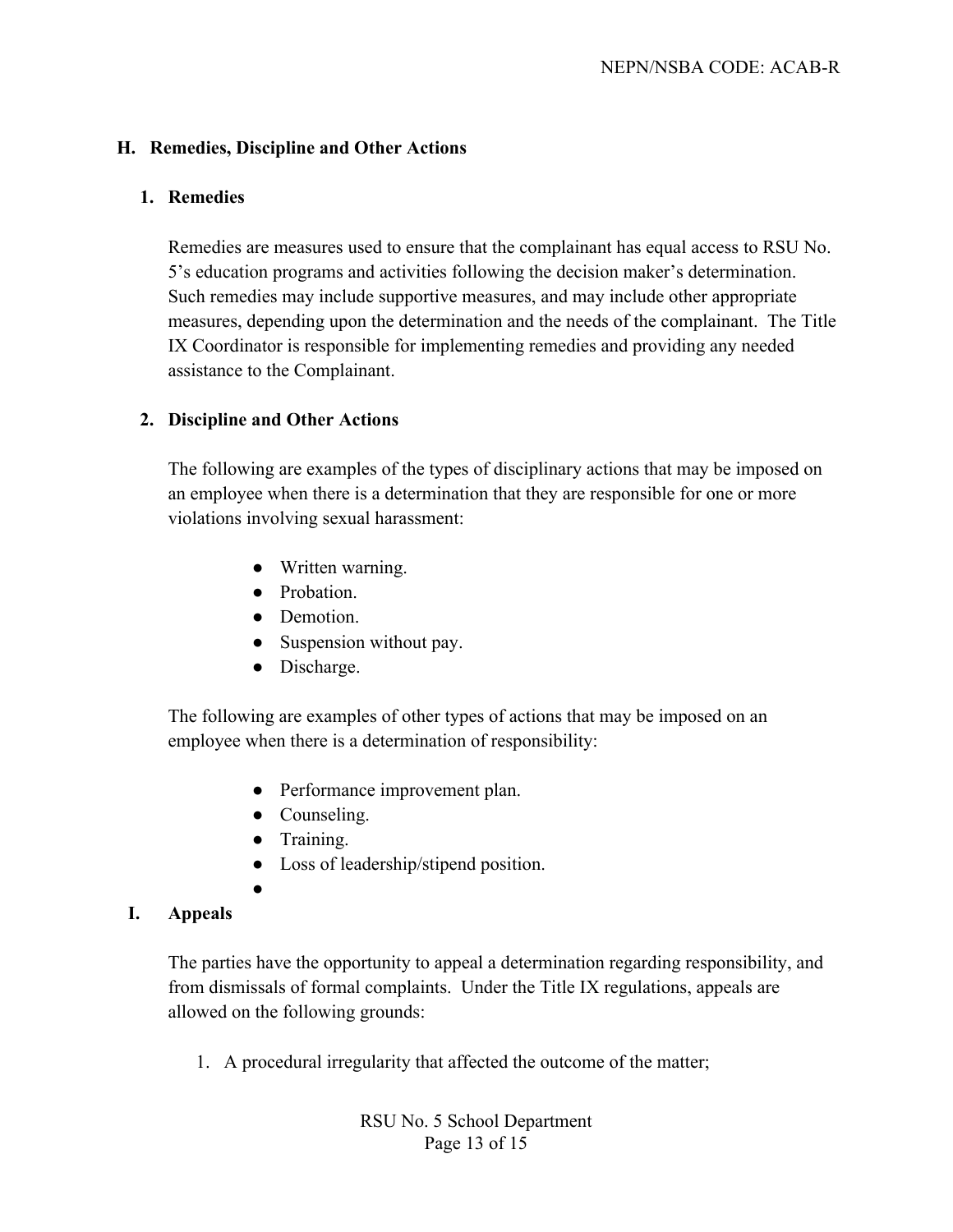## **H. Remedies, Discipline and Other Actions**

## **1. Remedies**

Remedies are measures used to ensure that the complainant has equal access to RSU No. 5's education programs and activities following the decision maker's determination. Such remedies may include supportive measures, and may include other appropriate measures, depending upon the determination and the needs of the complainant. The Title IX Coordinator is responsible for implementing remedies and providing any needed assistance to the Complainant.

## **2. Discipline and Other Actions**

The following are examples of the types of disciplinary actions that may be imposed on an employee when there is a determination that they are responsible for one or more violations involving sexual harassment:

- Written warning.
- Probation.
- Demotion.
- Suspension without pay.
- Discharge.

The following are examples of other types of actions that may be imposed on an employee when there is a determination of responsibility:

- Performance improvement plan.
- Counseling.
- Training.
- Loss of leadership/stipend position.
- ●

## **I. Appeals**

The parties have the opportunity to appeal a determination regarding responsibility, and from dismissals of formal complaints. Under the Title IX regulations, appeals are allowed on the following grounds:

1. A procedural irregularity that affected the outcome of the matter;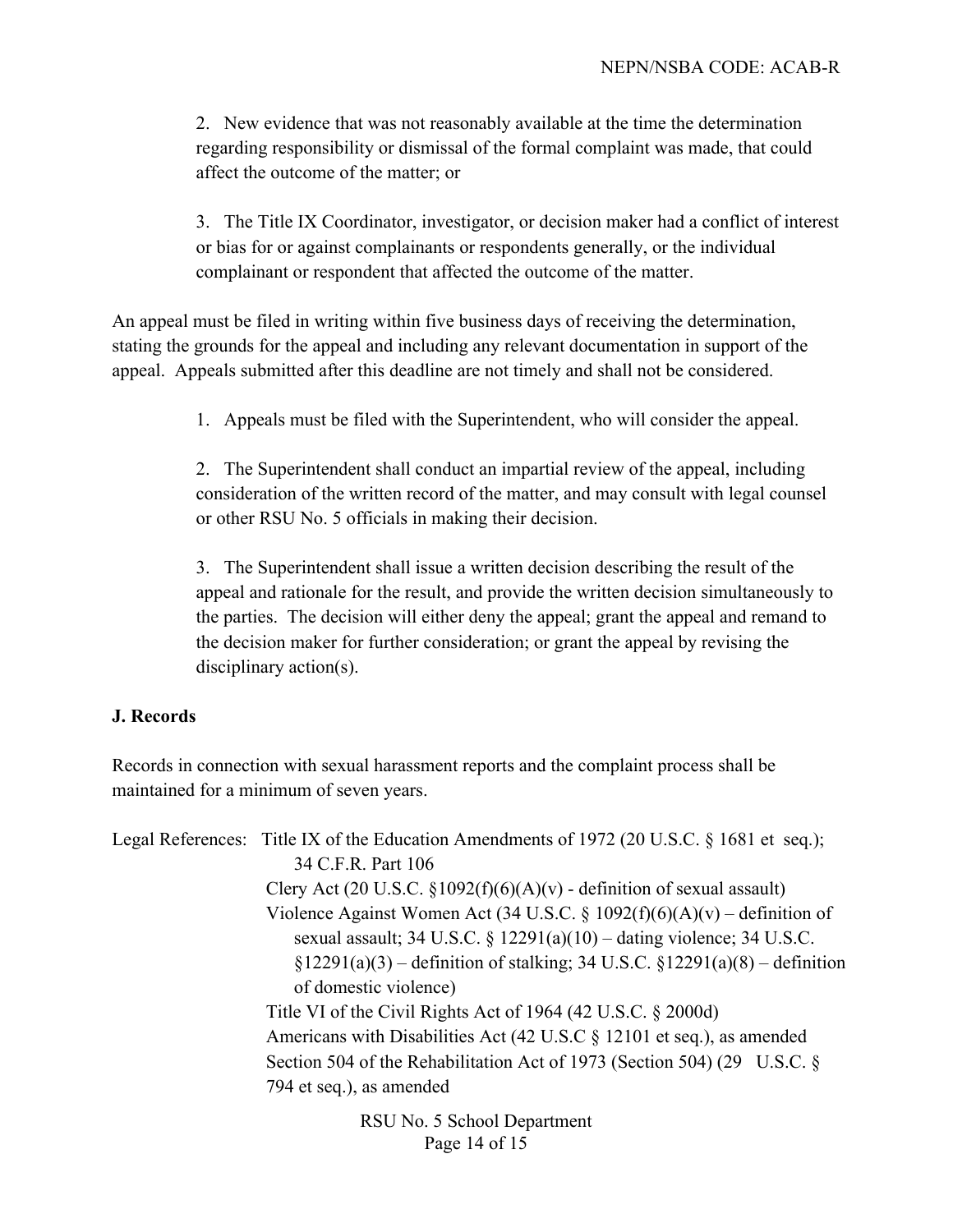2. New evidence that was not reasonably available at the time the determination regarding responsibility or dismissal of the formal complaint was made, that could affect the outcome of the matter; or

3. The Title IX Coordinator, investigator, or decision maker had a conflict of interest or bias for or against complainants or respondents generally, or the individual complainant or respondent that affected the outcome of the matter.

An appeal must be filed in writing within five business days of receiving the determination, stating the grounds for the appeal and including any relevant documentation in support of the appeal. Appeals submitted after this deadline are not timely and shall not be considered.

1. Appeals must be filed with the Superintendent, who will consider the appeal.

2. The Superintendent shall conduct an impartial review of the appeal, including consideration of the written record of the matter, and may consult with legal counsel or other RSU No. 5 officials in making their decision.

3. The Superintendent shall issue a written decision describing the result of the appeal and rationale for the result, and provide the written decision simultaneously to the parties. The decision will either deny the appeal; grant the appeal and remand to the decision maker for further consideration; or grant the appeal by revising the disciplinary action(s).

#### **J. Records**

Records in connection with sexual harassment reports and the complaint process shall be maintained for a minimum of seven years.

|  | Legal References: Title IX of the Education Amendments of 1972 (20 U.S.C. § 1681 et seq.); |
|--|--------------------------------------------------------------------------------------------|
|  | 34 C.F.R. Part 106                                                                         |
|  | Clery Act (20 U.S.C. $\S 1092(f)(6)(A)(v)$ - definition of sexual assault)                 |
|  | Violence Against Women Act (34 U.S.C. § 1092(f)(6)(A)(v) – definition of                   |
|  | sexual assault; 34 U.S.C. § $12291(a)(10)$ – dating violence; 34 U.S.C.                    |
|  | $\S 12291(a)(3)$ – definition of stalking; 34 U.S.C. $\S 12291(a)(8)$ – definition         |
|  | of domestic violence)                                                                      |
|  | Title VI of the Civil Rights Act of 1964 (42 U.S.C. $\S$ 2000d)                            |
|  | Americans with Disabilities Act (42 U.S.C § 12101 et seq.), as amended                     |
|  | Section 504 of the Rehabilitation Act of 1973 (Section 504) (29 U.S.C. §                   |
|  | 794 et seq.), as amended                                                                   |
|  | <b>D</b> CIIN <sub>O</sub> 5 School Department                                             |

RSU No. 5 School Department Page 14 of 15